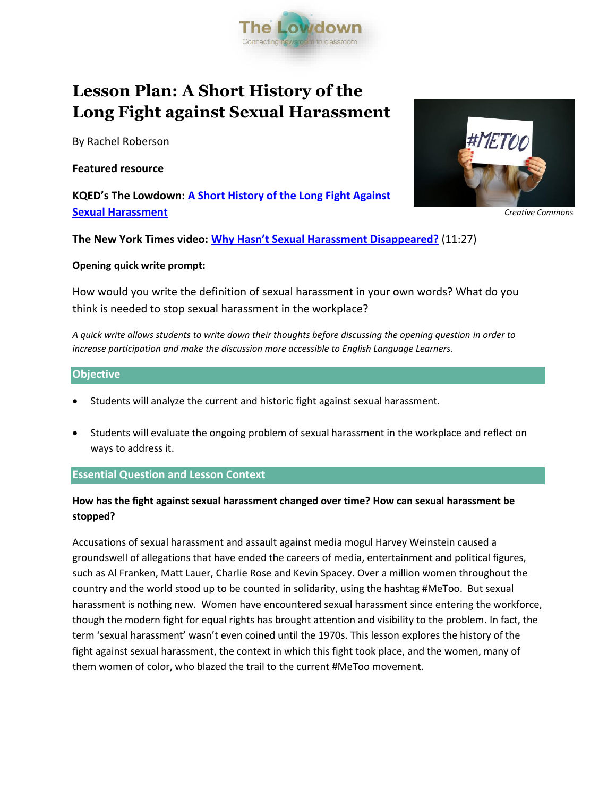

# **Lesson Plan: A Short History of the Long Fight against Sexual Harassment**

By Rachel Roberson

**Featured resource**

**KQED's The Lowdown: [A Short History of the Long Fight Against](https://ww2.kqed.org/lowdown/2017/12/14/timeline-a-short-history-of-the-long-fight-against-sexual-harassment/)  [Sexual Harassment](https://ww2.kqed.org/lowdown/2017/12/14/timeline-a-short-history-of-the-long-fight-against-sexual-harassment/)**



*Creative Commons*

**The New York Times video: [Why Hasn't Sexual Harassment Disappeared?](https://www.nytimes.com/video/us/politics/100000005499544/sexual-harassment-workplace.html)** (11:27)

#### **Opening quick write prompt:**

How would you write the definition of sexual harassment in your own words? What do you think is needed to stop sexual harassment in the workplace?

*A quick write allows students to write down their thoughts before discussing the opening question in order to increase participation and make the discussion more accessible to English Language Learners.* 

#### **Objective**

- Students will analyze the current and historic fight against sexual harassment.
- Students will evaluate the ongoing problem of sexual harassment in the workplace and reflect on ways to address it.

## **Essential Question and Lesson Context**

# **How has the fight against sexual harassment changed over time? How can sexual harassment be stopped?**

Accusations of sexual harassment and assault against media mogul Harvey Weinstein caused a groundswell of allegations that have ended the careers of media, entertainment and political figures, such as Al Franken, Matt Lauer, Charlie Rose and Kevin Spacey. Over a million women throughout the country and the world stood up to be counted in solidarity, using the hashtag #MeToo. But sexual harassment is nothing new. Women have encountered sexual harassment since entering the workforce, though the modern fight for equal rights has brought attention and visibility to the problem. In fact, the term 'sexual harassment' wasn't even coined until the 1970s. This lesson explores the history of the fight against sexual harassment, the context in which this fight took place, and the women, many of them women of color, who blazed the trail to the current #MeToo movement.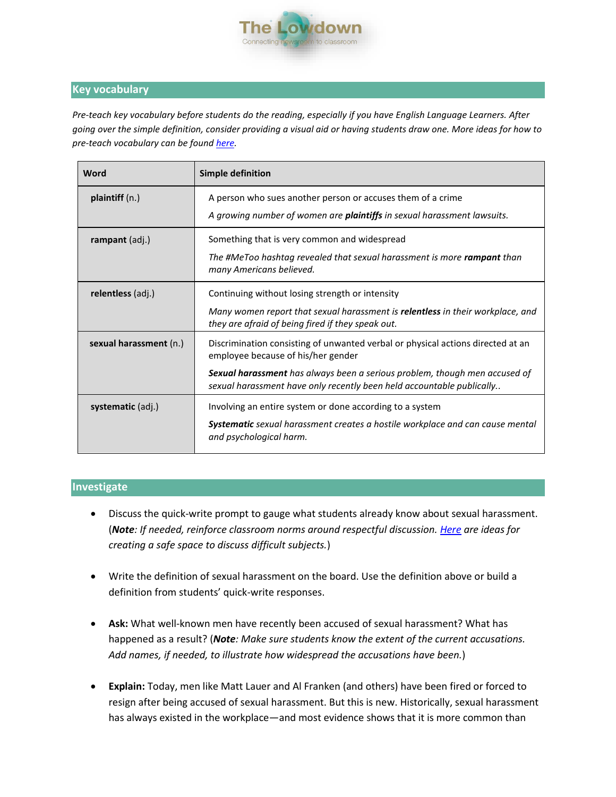

# **Key vocabulary**

*Pre-teach key vocabulary before students do the reading, especially if you have English Language Learners. After going over the simple definition, consider providing a visual aid or having students draw one. More ideas for how to pre-teach vocabulary can be found [here.](http://www.colorincolorado.org/article/vocabulary-development)* 

| Word                   | <b>Simple definition</b>                                                                                                                            |
|------------------------|-----------------------------------------------------------------------------------------------------------------------------------------------------|
| plaintiff (n.)         | A person who sues another person or accuses them of a crime                                                                                         |
|                        | A growing number of women are <b>plaintiffs</b> in sexual harassment lawsuits.                                                                      |
| rampant (adj.)         | Something that is very common and widespread                                                                                                        |
|                        | The #MeToo hashtag revealed that sexual harassment is more <b>rampant</b> than<br>many Americans believed.                                          |
| relentless (adj.)      | Continuing without losing strength or intensity                                                                                                     |
|                        | Many women report that sexual harassment is <b>relentless</b> in their workplace, and<br>they are afraid of being fired if they speak out.          |
| sexual harassment (n.) | Discrimination consisting of unwanted verbal or physical actions directed at an<br>employee because of his/her gender                               |
|                        | Sexual harassment has always been a serious problem, though men accused of<br>sexual harassment have only recently been held accountable publically |
| systematic (adj.)      | Involving an entire system or done according to a system                                                                                            |
|                        | <b>Systematic</b> sexual harassment creates a hostile workplace and can cause mental<br>and psychological harm.                                     |

## **Investigate**

- Discuss the quick-write prompt to gauge what students already know about sexual harassment. (*Note: If needed, reinforce classroom norms around respectful discussion. [Here](http://lanetwork.facinghistory.org/five-ways-to-create-a-safe-classroom-space/) are ideas for creating a safe space to discuss difficult subjects.*)
- Write the definition of sexual harassment on the board. Use the definition above or build a definition from students' quick-write responses.
- **Ask:** What well-known men have recently been accused of sexual harassment? What has happened as a result? (*Note: Make sure students know the extent of the current accusations. Add names, if needed, to illustrate how widespread the accusations have been.*)
- **Explain:** Today, men like Matt Lauer and Al Franken (and others) have been fired or forced to resign after being accused of sexual harassment. But this is new. Historically, sexual harassment has always existed in the workplace—and most evidence shows that it is more common than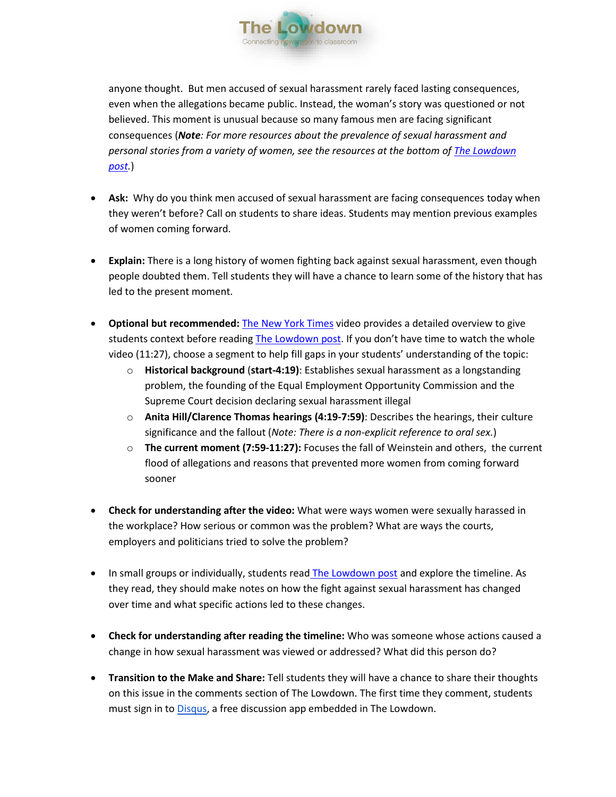

anyone thought. But men accused of sexual harassment rarely faced lasting consequences, even when the allegations became public. Instead, the woman's story was questioned or not believed. This moment is unusual because so many famous men are facing significant consequences (*Note: For more resources about the prevalence of sexual harassment and personal stories from a variety of women, see the resources at the bottom of [The Lowdown](https://ww2.kqed.org/lowdown/2017/12/14/timeline-a-short-history-of-the-long-fight-against-sexual-harassment/)  [post.](https://ww2.kqed.org/lowdown/2017/12/14/timeline-a-short-history-of-the-long-fight-against-sexual-harassment/)*)

- **Ask:** Why do you think men accused of sexual harassment are facing consequences today when they weren't before? Call on students to share ideas. Students may mention previous examples of women coming forward.
- **Explain:** There is a long history of women fighting back against sexual harassment, even though people doubted them. Tell students they will have a chance to learn some of the history that has led to the present moment.
- **Optional but recommended:** [The New York Times](https://wp.me/p681tQ-7Bq) video provides a detailed overview to give students context before reading [The Lowdown post](https://ww2.kqed.org/lowdown/2017/12/14/timeline-a-short-history-of-the-long-fight-against-sexual-harassment/). If you don't have time to watch the whole video (11:27), choose a segment to help fill gaps in your students' understanding of the topic:
	- o **Historical background** (**start-4:19)**: Establishes sexual harassment as a longstanding problem, the founding of the Equal Employment Opportunity Commission and the Supreme Court decision declaring sexual harassment illegal
	- o **Anita Hill/Clarence Thomas hearings (4:19-7:59)**: Describes the hearings, their culture significance and the fallout (*Note: There is a non-explicit reference to oral sex.*)
	- o **The current moment (7:59-11:27):** Focuses the fall of Weinstein and others, the current flood of allegations and reasons that prevented more women from coming forward sooner
- **Check for understanding after the video:** What were ways women were sexually harassed in the workplace? How serious or common was the problem? What are ways the courts, employers and politicians tried to solve the problem?
- In small groups or individually, students read [The Lowdown post](https://ww2.kqed.org/lowdown/2017/12/14/timeline-a-short-history-of-the-long-fight-against-sexual-harassment/) and explore the timeline. As they read, they should make notes on how the fight against sexual harassment has changed over time and what specific actions led to these changes.
- **Check for understanding after reading the timeline:** Who was someone whose actions caused a change in how sexual harassment was viewed or addressed? What did this person do?
- **Transition to the Make and Share:** Tell students they will have a chance to share their thoughts on this issue in the comments section of The Lowdown. The first time they comment, students must sign in to **Disqus**, a free discussion app embedded in The Lowdown.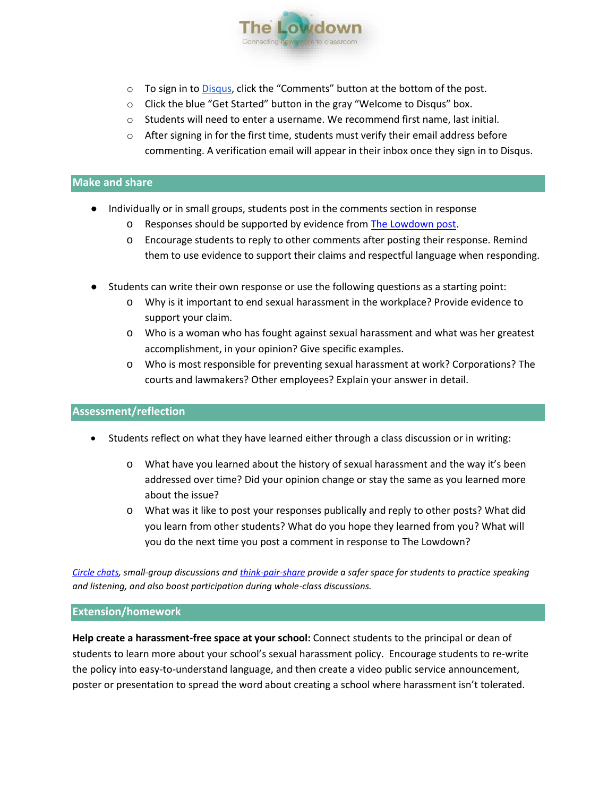

- o To sign in t[o Disqus](https://disqus.com/home/explore/?utm_source=embed&utm_medium=onboard_message&utm_content=see_home_btn&forum_id=howdwegethere), click the "Comments" button at the bottom of the post.
- o Click the blue "Get Started" button in the gray "Welcome to Disqus" box.
- $\circ$  Students will need to enter a username. We recommend first name, last initial.
- $\circ$  After signing in for the first time, students must verify their email address before commenting. A verification email will appear in their inbox once they sign in to Disqus.

#### **Make and share**

- Individually or in small groups, students post in the comments section in response
	- o Responses should be supported by evidence fro[m The Lowdown post.](https://ww2.kqed.org/lowdown/2017/12/14/timeline-a-short-history-of-the-long-fight-against-sexual-harassment/)
	- o Encourage students to reply to other comments after posting their response. Remind them to use evidence to support their claims and respectful language when responding.
- Students can write their own response or use the following questions as a starting point:
	- o Why is it important to end sexual harassment in the workplace? Provide evidence to support your claim.
	- o Who is a woman who has fought against sexual harassment and what was her greatest accomplishment, in your opinion? Give specific examples.
	- o Who is most responsible for preventing sexual harassment at work? Corporations? The courts and lawmakers? Other employees? Explain your answer in detail.

## **Assessment/reflection**

- Students reflect on what they have learned either through a class discussion or in writing:
	- o What have you learned about the history of sexual harassment and the way it's been addressed over time? Did your opinion change or stay the same as you learned more about the issue?
	- o What was it like to post your responses publically and reply to other posts? What did you learn from other students? What do you hope they learned from you? What will you do the next time you post a comment in response to The Lowdown?

*[Circle chats,](http://www.colorincolorado.org/article/increase-student-interaction-think-pair-shares-and-circle-chats) small-group discussions an[d think-pair-share](http://www.colorincolorado.org/article/increase-student-interaction-think-pair-shares-and-circle-chats) provide a safer space for students to practice speaking and listening, and also boost participation during whole-class discussions.* 

#### **Extension/homework**

**Help create a harassment-free space at your school:** Connect students to the principal or dean of students to learn more about your school's sexual harassment policy. Encourage students to re-write the policy into easy-to-understand language, and then create a video public service announcement, poster or presentation to spread the word about creating a school where harassment isn't tolerated.